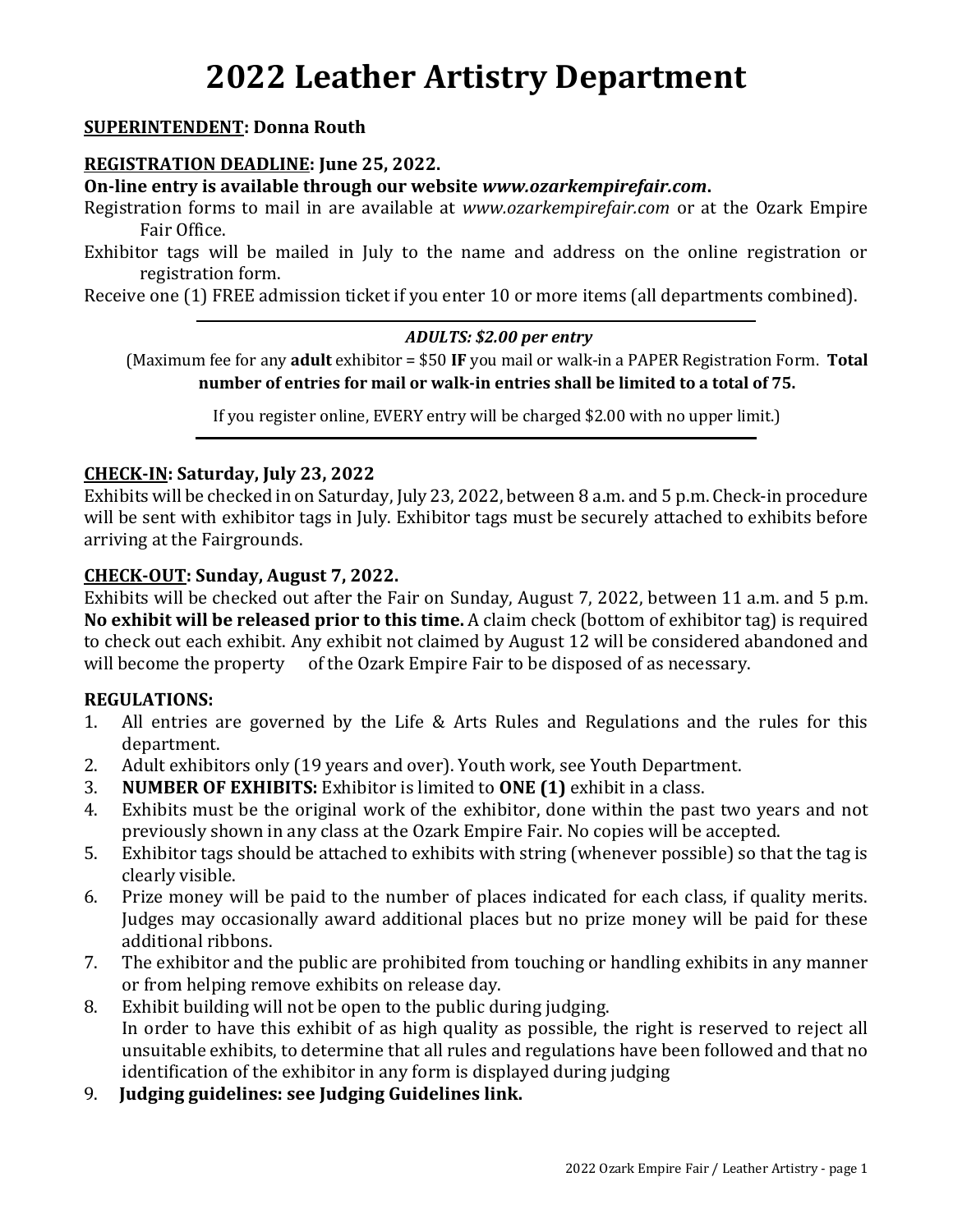# **2022 Leather Artistry Department**

## **SUPERINTENDENT: Donna Routh**

#### **REGISTRATION DEADLINE: June 25, 2022.**

**On-line entry is available through our website** *www.ozarkempirefair.com***.**

Registration forms to mail in are available at *www.ozarkempirefair.com* or at the Ozark Empire Fair Office.

Exhibitor tags will be mailed in July to the name and address on the online registration or registration form.

Receive one (1) FREE admission ticket if you enter 10 or more items (all departments combined).

#### *ADULTS: \$2.00 per entry*

(Maximum fee for any **adult** exhibitor = \$50 **IF** you mail or walk-in a PAPER Registration Form. **Total number of entries for mail or walk-in entries shall be limited to a total of 75.**

If you register online, EVERY entry will be charged \$2.00 with no upper limit.)

#### **CHECK-IN: Saturday, July 23, 2022**

Exhibits will be checked in on Saturday, July 23, 2022, between 8 a.m. and 5 p.m. Check-in procedure will be sent with exhibitor tags in July. Exhibitor tags must be securely attached to exhibits before arriving at the Fairgrounds.

#### **CHECK-OUT: Sunday, August 7, 2022.**

Exhibits will be checked out after the Fair on Sunday, August 7, 2022, between 11 a.m. and 5 p.m. **No exhibit will be released prior to this time.** A claim check (bottom of exhibitor tag) is required to check out each exhibit. Any exhibit not claimed by August 12 will be considered abandoned and will become the property of the Ozark Empire Fair to be disposed of as necessary.

#### **REGULATIONS:**

- 1. All entries are governed by the Life & Arts Rules and Regulations and the rules for this department.
- 2. Adult exhibitors only (19 years and over). Youth work, see Youth Department.
- 3. **NUMBER OF EXHIBITS:** Exhibitor is limited to **ONE (1)** exhibit in a class.
- 4. Exhibits must be the original work of the exhibitor, done within the past two years and not previously shown in any class at the Ozark Empire Fair. No copies will be accepted.
- 5. Exhibitor tags should be attached to exhibits with string (whenever possible) so that the tag is clearly visible.
- 6. Prize money will be paid to the number of places indicated for each class, if quality merits. Judges may occasionally award additional places but no prize money will be paid for these additional ribbons.
- 7. The exhibitor and the public are prohibited from touching or handling exhibits in any manner or from helping remove exhibits on release day.
- 8. Exhibit building will not be open to the public during judging. In order to have this exhibit of as high quality as possible, the right is reserved to reject all unsuitable exhibits, to determine that all rules and regulations have been followed and that no identification of the exhibitor in any form is displayed during judging
- 9. **Judging guidelines: see Judging Guidelines link.**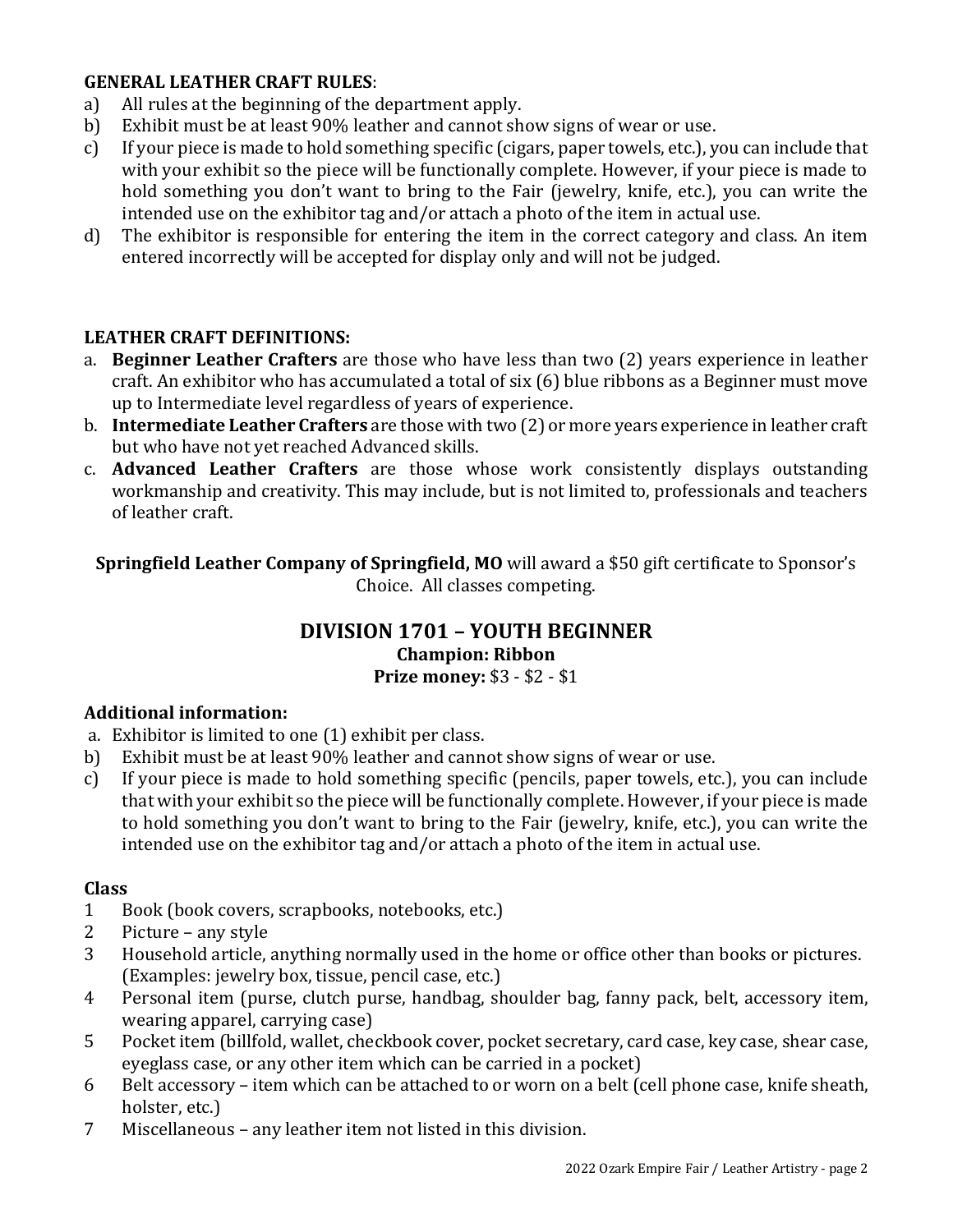# **GENERAL LEATHER CRAFT RULES**:

- a) All rules at the beginning of the department apply.
- b) Exhibit must be at least 90% leather and cannot show signs of wear or use.
- c) If your piece is made to hold something specific (cigars, paper towels, etc.), you can include that with your exhibit so the piece will be functionally complete. However, if your piece is made to hold something you don't want to bring to the Fair (jewelry, knife, etc.), you can write the intended use on the exhibitor tag and/or attach a photo of the item in actual use.
- d) The exhibitor is responsible for entering the item in the correct category and class. An item entered incorrectly will be accepted for display only and will not be judged.

## **LEATHER CRAFT DEFINITIONS:**

- a. **Beginner Leather Crafters** are those who have less than two (2) years experience in leather craft. An exhibitor who has accumulated a total of six (6) blue ribbons as a Beginner must move up to Intermediate level regardless of years of experience.
- b. **Intermediate Leather Crafters** are those with two (2) or more years experience in leather craft but who have not yet reached Advanced skills.
- c. **Advanced Leather Crafters** are those whose work consistently displays outstanding workmanship and creativity. This may include, but is not limited to, professionals and teachers of leather craft.

**Springfield Leather Company of Springfield, MO** will award a \$50 gift certificate to Sponsor's Choice. All classes competing.

#### **DIVISION 1701 – YOUTH BEGINNER Champion: Ribbon Prize money:** \$3 - \$2 - \$1

#### **Additional information:**

- a. Exhibitor is limited to one (1) exhibit per class.
- b) Exhibit must be at least 90% leather and cannot show signs of wear or use.
- c) If your piece is made to hold something specific (pencils, paper towels, etc.), you can include that with your exhibit so the piece will be functionally complete. However, if your piece is made to hold something you don't want to bring to the Fair (jewelry, knife, etc.), you can write the intended use on the exhibitor tag and/or attach a photo of the item in actual use.

#### **Class**

- 1 Book (book covers, scrapbooks, notebooks, etc.)
- 2 Picture any style
- 3 Household article, anything normally used in the home or office other than books or pictures. (Examples: jewelry box, tissue, pencil case, etc.)
- 4 Personal item (purse, clutch purse, handbag, shoulder bag, fanny pack, belt, accessory item, wearing apparel, carrying case)
- 5 Pocket item (billfold, wallet, checkbook cover, pocket secretary, card case, key case, shear case, eyeglass case, or any other item which can be carried in a pocket)
- 6 Belt accessory item which can be attached to or worn on a belt (cell phone case, knife sheath, holster, etc.)
- 7 Miscellaneous any leather item not listed in this division.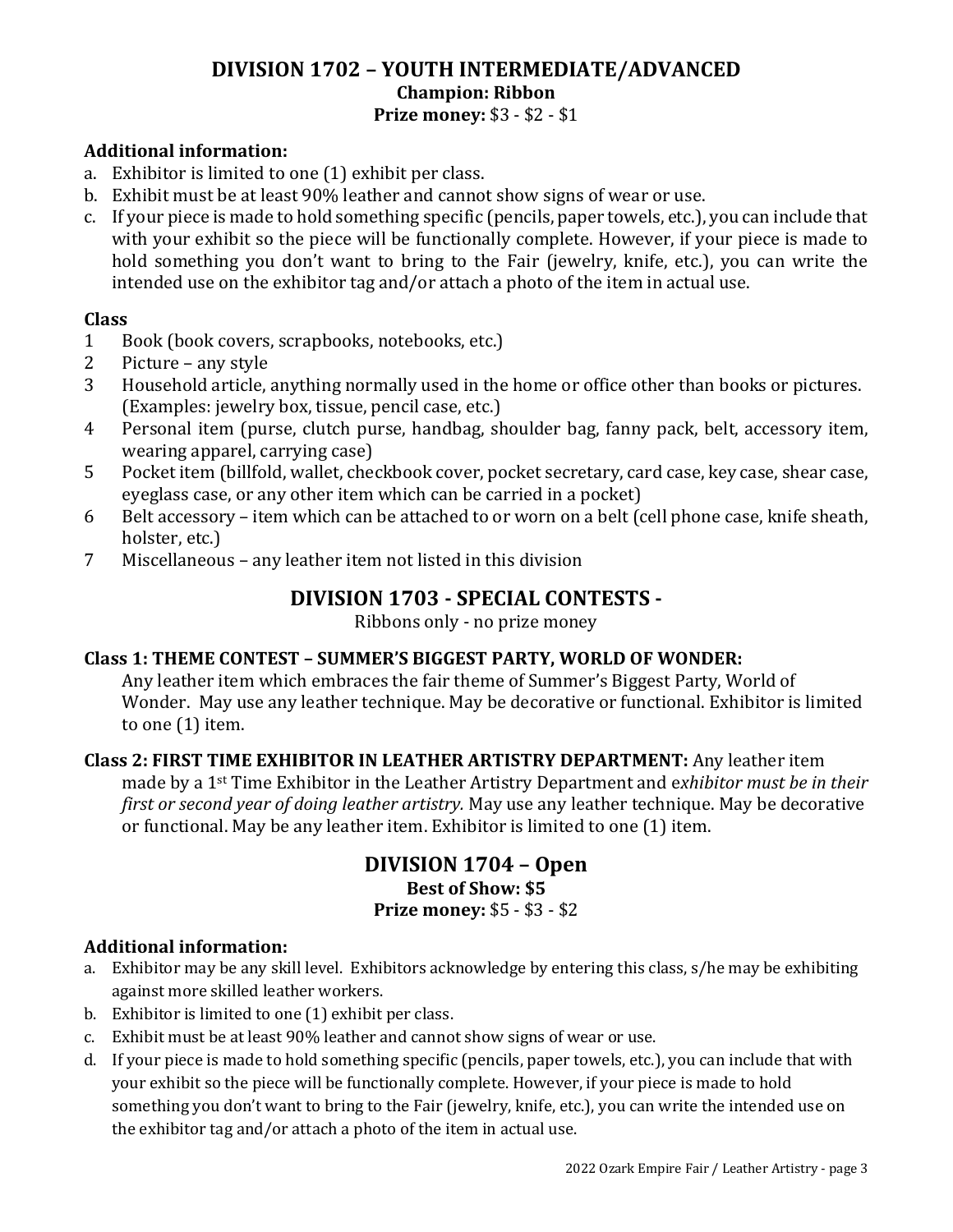## **DIVISION 1702 – YOUTH INTERMEDIATE/ADVANCED Champion: Ribbon Prize money:** \$3 - \$2 - \$1

#### **Additional information:**

- a. Exhibitor is limited to one (1) exhibit per class.
- b. Exhibit must be at least 90% leather and cannot show signs of wear or use.
- c. If your piece is made to hold something specific (pencils, paper towels, etc.), you can include that with your exhibit so the piece will be functionally complete. However, if your piece is made to hold something you don't want to bring to the Fair (jewelry, knife, etc.), you can write the intended use on the exhibitor tag and/or attach a photo of the item in actual use.

## **Class**

- 1 Book (book covers, scrapbooks, notebooks, etc.)
- 2 Picture any style
- 3 Household article, anything normally used in the home or office other than books or pictures. (Examples: jewelry box, tissue, pencil case, etc.)
- 4 Personal item (purse, clutch purse, handbag, shoulder bag, fanny pack, belt, accessory item, wearing apparel, carrying case)
- 5 Pocket item (billfold, wallet, checkbook cover, pocket secretary, card case, key case, shear case, eyeglass case, or any other item which can be carried in a pocket)
- 6 Belt accessory item which can be attached to or worn on a belt (cell phone case, knife sheath, holster, etc.)
- 7 Miscellaneous any leather item not listed in this division

# **DIVISION 1703 - SPECIAL CONTESTS -**

Ribbons only - no prize money

## **Class 1: THEME CONTEST – SUMMER'S BIGGEST PARTY, WORLD OF WONDER:**

Any leather item which embraces the fair theme of Summer's Biggest Party, World of Wonder. May use any leather technique. May be decorative or functional. Exhibitor is limited to one (1) item.

#### **Class 2: FIRST TIME EXHIBITOR IN LEATHER ARTISTRY DEPARTMENT:** Any leather item made by a 1st Time Exhibitor in the Leather Artistry Department and e*xhibitor must be in their first or second year of doing leather artistry.* May use any leather technique. May be decorative or functional. May be any leather item. Exhibitor is limited to one (1) item.

# **DIVISION 1704 – Open Best of Show: \$5 Prize money:** \$5 - \$3 - \$2

## **Additional information:**

- a. Exhibitor may be any skill level. Exhibitors acknowledge by entering this class, s/he may be exhibiting against more skilled leather workers.
- b. Exhibitor is limited to one (1) exhibit per class.
- c. Exhibit must be at least 90% leather and cannot show signs of wear or use.
- d. If your piece is made to hold something specific (pencils, paper towels, etc.), you can include that with your exhibit so the piece will be functionally complete. However, if your piece is made to hold something you don't want to bring to the Fair (jewelry, knife, etc.), you can write the intended use on the exhibitor tag and/or attach a photo of the item in actual use.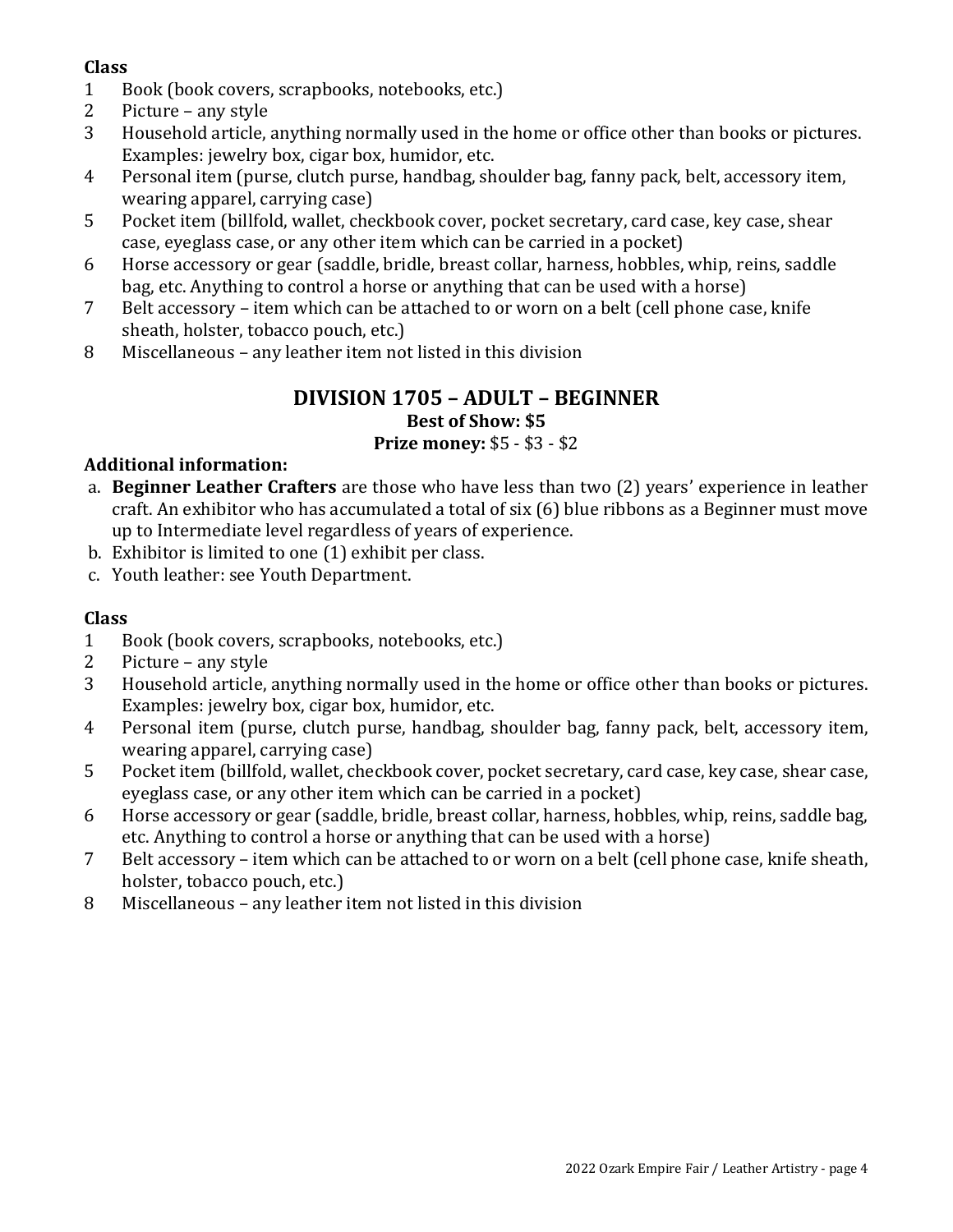# **Class**

- 1 Book (book covers, scrapbooks, notebooks, etc.)
- 2 Picture any style
- 3 Household article, anything normally used in the home or office other than books or pictures. Examples: jewelry box, cigar box, humidor, etc.
- 4 Personal item (purse, clutch purse, handbag, shoulder bag, fanny pack, belt, accessory item, wearing apparel, carrying case)
- 5 Pocket item (billfold, wallet, checkbook cover, pocket secretary, card case, key case, shear case, eyeglass case, or any other item which can be carried in a pocket)
- 6 Horse accessory or gear (saddle, bridle, breast collar, harness, hobbles, whip, reins, saddle bag, etc. Anything to control a horse or anything that can be used with a horse)
- 7 Belt accessory item which can be attached to or worn on a belt (cell phone case, knife sheath, holster, tobacco pouch, etc.)
- 8 Miscellaneous any leather item not listed in this division

## **DIVISION 1705 – ADULT – BEGINNER Best of Show: \$5 Prize money:** \$5 - \$3 - \$2

# **Additional information:**

- a. **Beginner Leather Crafters** are those who have less than two (2) years' experience in leather craft. An exhibitor who has accumulated a total of six (6) blue ribbons as a Beginner must move up to Intermediate level regardless of years of experience.
- b. Exhibitor is limited to one (1) exhibit per class.
- c. Youth leather: see Youth Department.

## **Class**

- 1 Book (book covers, scrapbooks, notebooks, etc.)
- 2 Picture any style
- 3 Household article, anything normally used in the home or office other than books or pictures. Examples: jewelry box, cigar box, humidor, etc.
- 4 Personal item (purse, clutch purse, handbag, shoulder bag, fanny pack, belt, accessory item, wearing apparel, carrying case)
- 5 Pocket item (billfold, wallet, checkbook cover, pocket secretary, card case, key case, shear case, eyeglass case, or any other item which can be carried in a pocket)
- 6 Horse accessory or gear (saddle, bridle, breast collar, harness, hobbles, whip, reins, saddle bag, etc. Anything to control a horse or anything that can be used with a horse)
- 7 Belt accessory item which can be attached to or worn on a belt (cell phone case, knife sheath, holster, tobacco pouch, etc.)
- 8 Miscellaneous any leather item not listed in this division